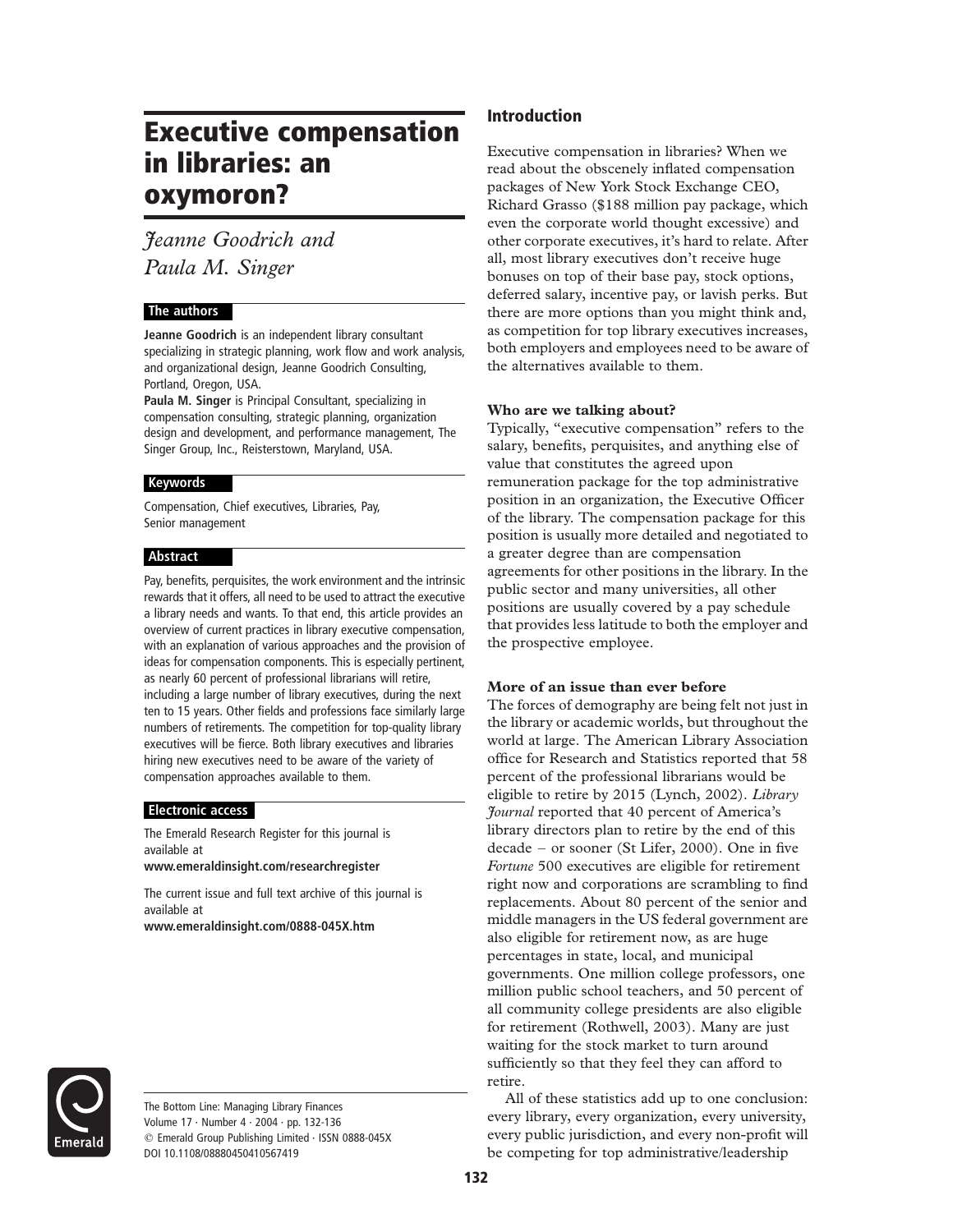# Executive compensation in libraries: an oxymoron?

## Jeanne Goodrich and Paula M. Singer

## The authors

Jeanne Goodrich is an independent library consultant specializing in strategic planning, work flow and work analysis, and organizational design, Jeanne Goodrich Consulting, Portland, Oregon, USA.

Paula M. Singer is Principal Consultant, specializing in compensation consulting, strategic planning, organization design and development, and performance management, The Singer Group, Inc., Reisterstown, Maryland, USA.

#### Keywords

Compensation, Chief executives, Libraries, Pay, Senior management

#### Abstract

Pay, benefits, perquisites, the work environment and the intrinsic rewards that it offers, all need to be used to attract the executive a library needs and wants. To that end, this article provides an overview of current practices in library executive compensation, with an explanation of various approaches and the provision of ideas for compensation components. This is especially pertinent, as nearly 60 percent of professional librarians will retire, including a large number of library executives, during the next ten to 15 years. Other fields and professions face similarly large numbers of retirements. The competition for top-quality library executives will be fierce. Both library executives and libraries hiring new executives need to be aware of the variety of compensation approaches available to them.

## Electronic access

The Emerald Research Register for this journal is available at

www.emeraldinsight.com/researchregister

The current issue and full text archive of this journal is available at

www.emeraldinsight.com/0888-045X.htm



The Bottom Line: Managing Library Finances Volume 17 · Number 4 · 2004 · pp. 132-136 q Emerald Group Publishing Limited · ISSN 0888-045X DOI 10.1108/08880450410567419

## Introduction

Executive compensation in libraries? When we read about the obscenely inflated compensation packages of New York Stock Exchange CEO, Richard Grasso (\$188 million pay package, which even the corporate world thought excessive) and other corporate executives, it's hard to relate. After all, most library executives don't receive huge bonuses on top of their base pay, stock options, deferred salary, incentive pay, or lavish perks. But there are more options than you might think and, as competition for top library executives increases, both employers and employees need to be aware of the alternatives available to them.

### Who are we talking about?

Typically, "executive compensation" refers to the salary, benefits, perquisites, and anything else of value that constitutes the agreed upon remuneration package for the top administrative position in an organization, the Executive Officer of the library. The compensation package for this position is usually more detailed and negotiated to a greater degree than are compensation agreements for other positions in the library. In the public sector and many universities, all other positions are usually covered by a pay schedule that provides less latitude to both the employer and the prospective employee.

#### More of an issue than ever before

The forces of demography are being felt not just in the library or academic worlds, but throughout the world at large. The American Library Association office for Research and Statistics reported that 58 percent of the professional librarians would be eligible to retire by 2015 (Lynch, 2002). Library Journal reported that 40 percent of America's library directors plan to retire by the end of this decade – or sooner (St Lifer, 2000). One in five Fortune 500 executives are eligible for retirement right now and corporations are scrambling to find replacements. About 80 percent of the senior and middle managers in the US federal government are also eligible for retirement now, as are huge percentages in state, local, and municipal governments. One million college professors, one million public school teachers, and 50 percent of all community college presidents are also eligible for retirement (Rothwell, 2003). Many are just waiting for the stock market to turn around sufficiently so that they feel they can afford to retire.

All of these statistics add up to one conclusion: every library, every organization, every university, every public jurisdiction, and every non-profit will be competing for top administrative/leadership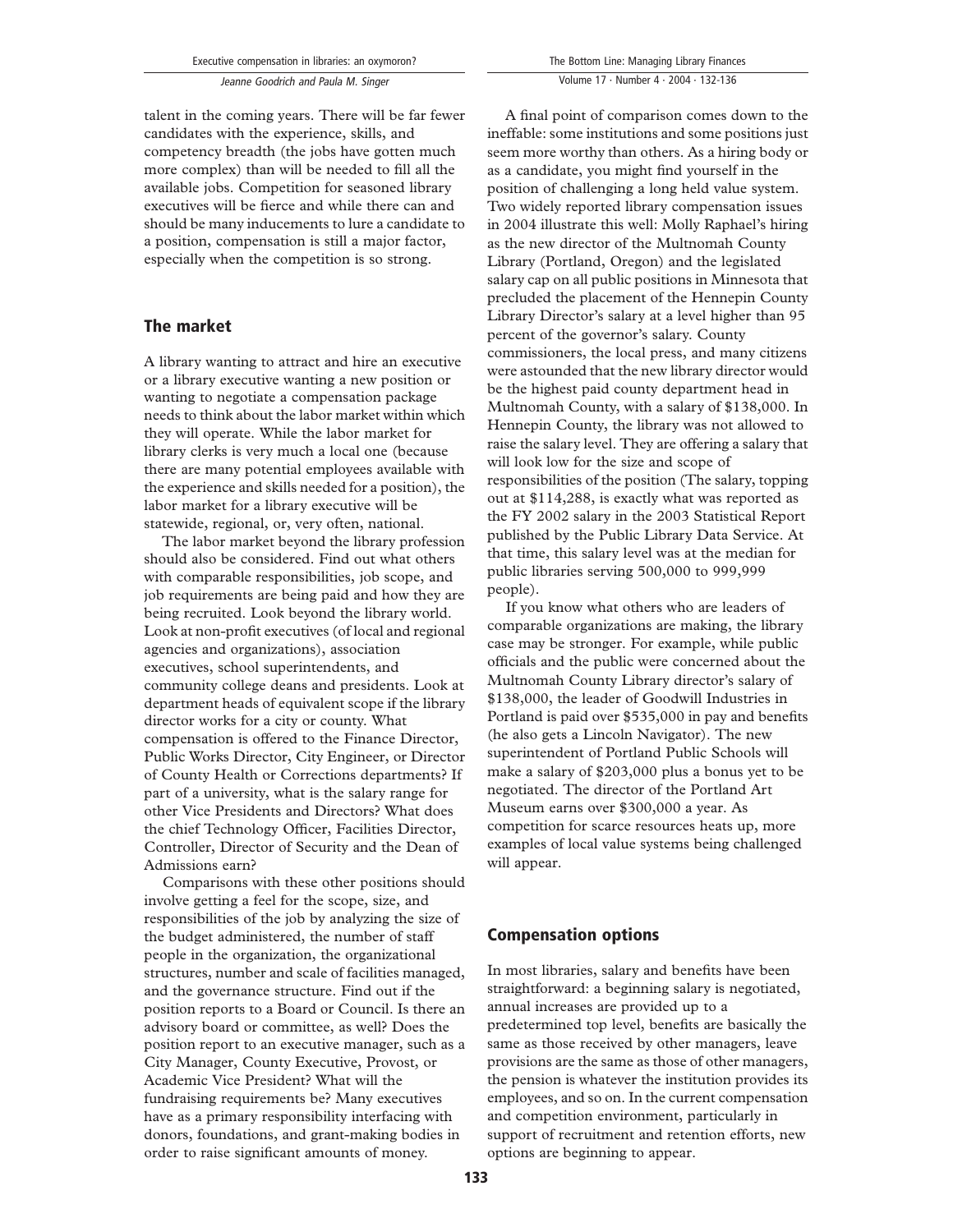Jeanne Goodrich and Paula M. Singer

talent in the coming years. There will be far fewer candidates with the experience, skills, and competency breadth (the jobs have gotten much more complex) than will be needed to fill all the available jobs. Competition for seasoned library executives will be fierce and while there can and should be many inducements to lure a candidate to a position, compensation is still a major factor, especially when the competition is so strong.

## The market

A library wanting to attract and hire an executive or a library executive wanting a new position or wanting to negotiate a compensation package needs to think about the labor market within which they will operate. While the labor market for library clerks is very much a local one (because there are many potential employees available with the experience and skills needed for a position), the labor market for a library executive will be statewide, regional, or, very often, national.

The labor market beyond the library profession should also be considered. Find out what others with comparable responsibilities, job scope, and job requirements are being paid and how they are being recruited. Look beyond the library world. Look at non-profit executives (of local and regional agencies and organizations), association executives, school superintendents, and community college deans and presidents. Look at department heads of equivalent scope if the library director works for a city or county. What compensation is offered to the Finance Director, Public Works Director, City Engineer, or Director of County Health or Corrections departments? If part of a university, what is the salary range for other Vice Presidents and Directors? What does the chief Technology Officer, Facilities Director, Controller, Director of Security and the Dean of Admissions earn?

Comparisons with these other positions should involve getting a feel for the scope, size, and responsibilities of the job by analyzing the size of the budget administered, the number of staff people in the organization, the organizational structures, number and scale of facilities managed, and the governance structure. Find out if the position reports to a Board or Council. Is there an advisory board or committee, as well? Does the position report to an executive manager, such as a City Manager, County Executive, Provost, or Academic Vice President? What will the fundraising requirements be? Many executives have as a primary responsibility interfacing with donors, foundations, and grant-making bodies in order to raise significant amounts of money.

Volume 17 · Number 4 · 2004 · 132-136

A final point of comparison comes down to the ineffable: some institutions and some positions just seem more worthy than others. As a hiring body or as a candidate, you might find yourself in the position of challenging a long held value system. Two widely reported library compensation issues in 2004 illustrate this well: Molly Raphael's hiring as the new director of the Multnomah County Library (Portland, Oregon) and the legislated salary cap on all public positions in Minnesota that precluded the placement of the Hennepin County Library Director's salary at a level higher than 95 percent of the governor's salary. County commissioners, the local press, and many citizens were astounded that the new library director would be the highest paid county department head in Multnomah County, with a salary of \$138,000. In Hennepin County, the library was not allowed to raise the salary level. They are offering a salary that will look low for the size and scope of responsibilities of the position (The salary, topping out at \$114,288, is exactly what was reported as the FY 2002 salary in the 2003 Statistical Report published by the Public Library Data Service. At that time, this salary level was at the median for public libraries serving 500,000 to 999,999 people).

If you know what others who are leaders of comparable organizations are making, the library case may be stronger. For example, while public officials and the public were concerned about the Multnomah County Library director's salary of \$138,000, the leader of Goodwill Industries in Portland is paid over \$535,000 in pay and benefits (he also gets a Lincoln Navigator). The new superintendent of Portland Public Schools will make a salary of \$203,000 plus a bonus yet to be negotiated. The director of the Portland Art Museum earns over \$300,000 a year. As competition for scarce resources heats up, more examples of local value systems being challenged will appear.

## Compensation options

In most libraries, salary and benefits have been straightforward: a beginning salary is negotiated, annual increases are provided up to a predetermined top level, benefits are basically the same as those received by other managers, leave provisions are the same as those of other managers, the pension is whatever the institution provides its employees, and so on. In the current compensation and competition environment, particularly in support of recruitment and retention efforts, new options are beginning to appear.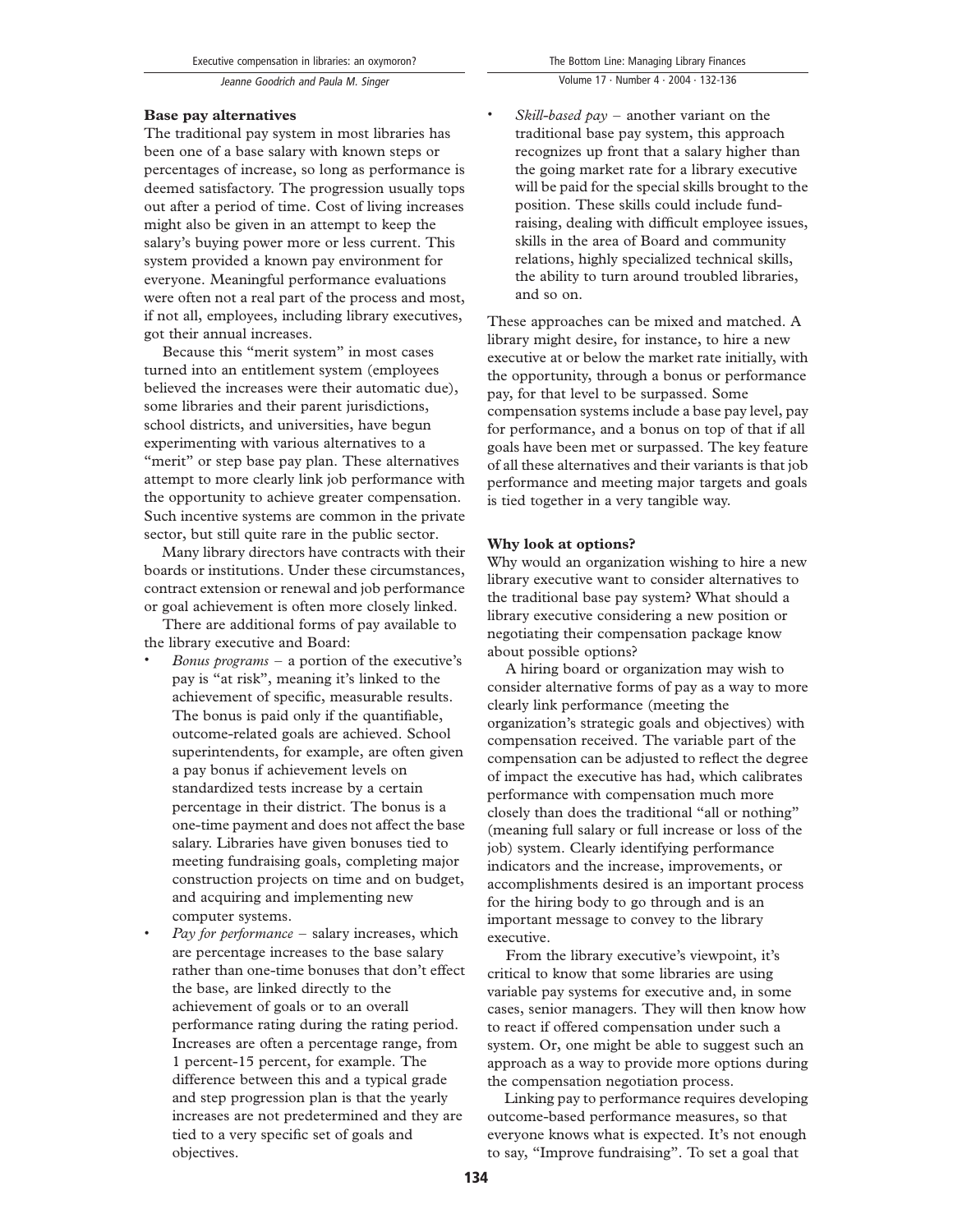Jeanne Goodrich and Paula M. Singer

The traditional pay system in most libraries has been one of a base salary with known steps or percentages of increase, so long as performance is deemed satisfactory. The progression usually tops out after a period of time. Cost of living increases might also be given in an attempt to keep the salary's buying power more or less current. This system provided a known pay environment for everyone. Meaningful performance evaluations were often not a real part of the process and most, if not all, employees, including library executives, got their annual increases.

Because this "merit system" in most cases turned into an entitlement system (employees believed the increases were their automatic due), some libraries and their parent jurisdictions, school districts, and universities, have begun experimenting with various alternatives to a "merit" or step base pay plan. These alternatives attempt to more clearly link job performance with the opportunity to achieve greater compensation. Such incentive systems are common in the private sector, but still quite rare in the public sector.

Many library directors have contracts with their boards or institutions. Under these circumstances, contract extension or renewal and job performance or goal achievement is often more closely linked.

There are additional forms of pay available to the library executive and Board:

- *Bonus programs a portion of the executive's* pay is "at risk", meaning it's linked to the achievement of specific, measurable results. The bonus is paid only if the quantifiable, outcome-related goals are achieved. School superintendents, for example, are often given a pay bonus if achievement levels on standardized tests increase by a certain percentage in their district. The bonus is a one-time payment and does not affect the base salary. Libraries have given bonuses tied to meeting fundraising goals, completing major construction projects on time and on budget, and acquiring and implementing new computer systems.
- Pay for performance salary increases, which are percentage increases to the base salary rather than one-time bonuses that don't effect the base, are linked directly to the achievement of goals or to an overall performance rating during the rating period. Increases are often a percentage range, from 1 percent-15 percent, for example. The difference between this and a typical grade and step progression plan is that the yearly increases are not predetermined and they are tied to a very specific set of goals and objectives.

*Skill-based pay –* another variant on the traditional base pay system, this approach recognizes up front that a salary higher than the going market rate for a library executive will be paid for the special skills brought to the position. These skills could include fundraising, dealing with difficult employee issues, skills in the area of Board and community relations, highly specialized technical skills, the ability to turn around troubled libraries, and so on.

These approaches can be mixed and matched. A library might desire, for instance, to hire a new executive at or below the market rate initially, with the opportunity, through a bonus or performance pay, for that level to be surpassed. Some compensation systems include a base pay level, pay for performance, and a bonus on top of that if all goals have been met or surpassed. The key feature of all these alternatives and their variants is that job performance and meeting major targets and goals is tied together in a very tangible way.

#### Why look at options?

Why would an organization wishing to hire a new library executive want to consider alternatives to the traditional base pay system? What should a library executive considering a new position or negotiating their compensation package know about possible options?

A hiring board or organization may wish to consider alternative forms of pay as a way to more clearly link performance (meeting the organization's strategic goals and objectives) with compensation received. The variable part of the compensation can be adjusted to reflect the degree of impact the executive has had, which calibrates performance with compensation much more closely than does the traditional "all or nothing" (meaning full salary or full increase or loss of the job) system. Clearly identifying performance indicators and the increase, improvements, or accomplishments desired is an important process for the hiring body to go through and is an important message to convey to the library executive.

From the library executive's viewpoint, it's critical to know that some libraries are using variable pay systems for executive and, in some cases, senior managers. They will then know how to react if offered compensation under such a system. Or, one might be able to suggest such an approach as a way to provide more options during the compensation negotiation process.

Linking pay to performance requires developing outcome-based performance measures, so that everyone knows what is expected. It's not enough to say, "Improve fundraising". To set a goal that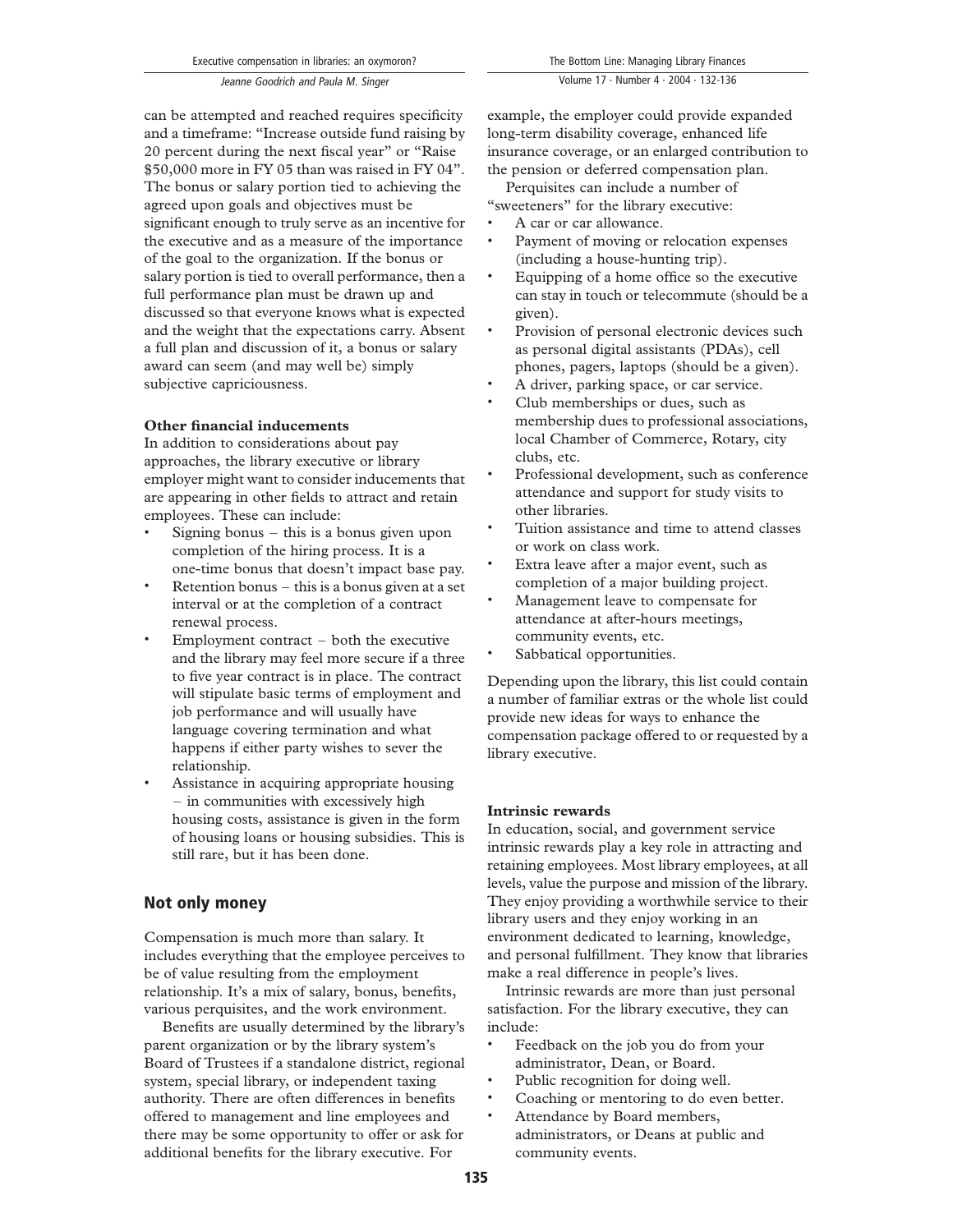can be attempted and reached requires specificity and a timeframe: "Increase outside fund raising by 20 percent during the next fiscal year" or "Raise \$50,000 more in FY 05 than was raised in FY 04". The bonus or salary portion tied to achieving the agreed upon goals and objectives must be significant enough to truly serve as an incentive for the executive and as a measure of the importance of the goal to the organization. If the bonus or salary portion is tied to overall performance, then a full performance plan must be drawn up and discussed so that everyone knows what is expected and the weight that the expectations carry. Absent a full plan and discussion of it, a bonus or salary award can seem (and may well be) simply subjective capriciousness.

#### Other financial inducements

In addition to considerations about pay approaches, the library executive or library employer might want to consider inducements that are appearing in other fields to attract and retain employees. These can include:

- . Signing bonus this is a bonus given upon completion of the hiring process. It is a one-time bonus that doesn't impact base pay.
- . Retention bonus this is a bonus given at a set interval or at the completion of a contract renewal process.
- . Employment contract both the executive and the library may feel more secure if a three to five year contract is in place. The contract will stipulate basic terms of employment and job performance and will usually have language covering termination and what happens if either party wishes to sever the relationship.
- . Assistance in acquiring appropriate housing – in communities with excessively high housing costs, assistance is given in the form of housing loans or housing subsidies. This is still rare, but it has been done.

### Not only money

Compensation is much more than salary. It includes everything that the employee perceives to be of value resulting from the employment relationship. It's a mix of salary, bonus, benefits, various perquisites, and the work environment.

Benefits are usually determined by the library's parent organization or by the library system's Board of Trustees if a standalone district, regional system, special library, or independent taxing authority. There are often differences in benefits offered to management and line employees and there may be some opportunity to offer or ask for additional benefits for the library executive. For

example, the employer could provide expanded long-term disability coverage, enhanced life insurance coverage, or an enlarged contribution to the pension or deferred compensation plan.

Perquisites can include a number of "sweeteners" for the library executive:

- . A car or car allowance.
- . Payment of moving or relocation expenses (including a house-hunting trip).
- . Equipping of a home office so the executive can stay in touch or telecommute (should be a given).
- . Provision of personal electronic devices such as personal digital assistants (PDAs), cell phones, pagers, laptops (should be a given).
- . A driver, parking space, or car service.
- . Club memberships or dues, such as membership dues to professional associations, local Chamber of Commerce, Rotary, city clubs, etc.
- . Professional development, such as conference attendance and support for study visits to other libraries.
- . Tuition assistance and time to attend classes or work on class work.
- . Extra leave after a major event, such as completion of a major building project.
- . Management leave to compensate for attendance at after-hours meetings, community events, etc.
- . Sabbatical opportunities.

Depending upon the library, this list could contain a number of familiar extras or the whole list could provide new ideas for ways to enhance the compensation package offered to or requested by a library executive.

#### Intrinsic rewards

In education, social, and government service intrinsic rewards play a key role in attracting and retaining employees. Most library employees, at all levels, value the purpose and mission of the library. They enjoy providing a worthwhile service to their library users and they enjoy working in an environment dedicated to learning, knowledge, and personal fulfillment. They know that libraries make a real difference in people's lives.

Intrinsic rewards are more than just personal satisfaction. For the library executive, they can include:

- . Feedback on the job you do from your administrator, Dean, or Board.
- . Public recognition for doing well.
- . Coaching or mentoring to do even better.
- . Attendance by Board members, administrators, or Deans at public and community events.